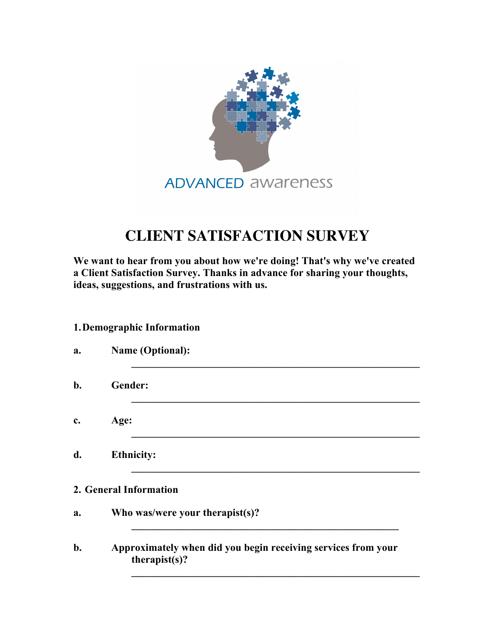

## **CLIENT SATISFACTION SURVEY**

**We want to hear from you about how we're doing! That's why we've created a Client Satisfaction Survey. Thanks in advance for sharing your thoughts, ideas, suggestions, and frustrations with us.** 

## **1.Demographic Information**

| a.    | <b>Name (Optional):</b>                                                        |
|-------|--------------------------------------------------------------------------------|
| $b$ . | Gender:                                                                        |
| c.    | Age:                                                                           |
| d.    | <b>Ethnicity:</b>                                                              |
|       | 2. General Information                                                         |
| a.    | Who was/were your therapist(s)?                                                |
| b.    | Approximately when did you begin receiving services from your<br>therapist(s)? |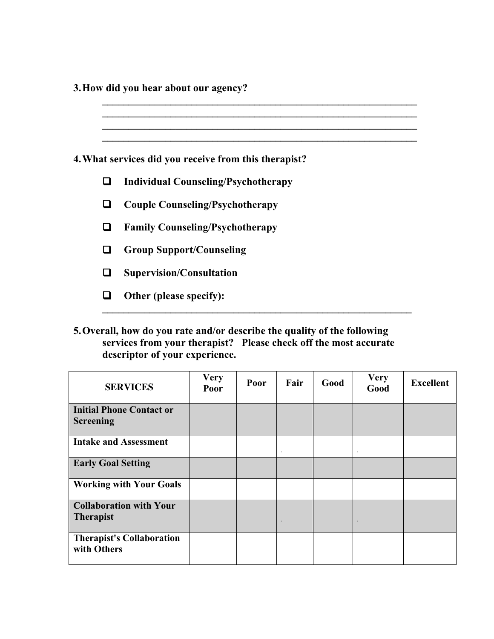**3.How did you hear about our agency?** 

|        | 4. What services did you receive from this therapist? |
|--------|-------------------------------------------------------|
| $\Box$ | <b>Individual Counseling/Psychotherapy</b>            |
| ш      | <b>Couple Counseling/Psychotherapy</b>                |
| ப      | <b>Family Counseling/Psychotherapy</b>                |
| ப      | <b>Group Support/Counseling</b>                       |
| ப      | <b>Supervision/Consultation</b>                       |
|        | Other (please specify):                               |
|        |                                                       |

**5.Overall, how do you rate and/or describe the quality of the following services from your therapist? Please check off the most accurate descriptor of your experience.**

| <b>SERVICES</b>                                     | <b>Very</b><br>Poor | Poor | Fair | Good | <b>Very</b><br>Good | <b>Excellent</b> |
|-----------------------------------------------------|---------------------|------|------|------|---------------------|------------------|
| <b>Initial Phone Contact or</b><br><b>Screening</b> |                     |      |      |      |                     |                  |
| <b>Intake and Assessment</b>                        |                     |      |      |      |                     |                  |
| <b>Early Goal Setting</b>                           |                     |      |      |      |                     |                  |
| <b>Working with Your Goals</b>                      |                     |      |      |      |                     |                  |
| <b>Collaboration with Your</b><br><b>Therapist</b>  |                     |      | m.   |      |                     |                  |
| <b>Therapist's Collaboration</b><br>with Others     |                     |      |      |      |                     |                  |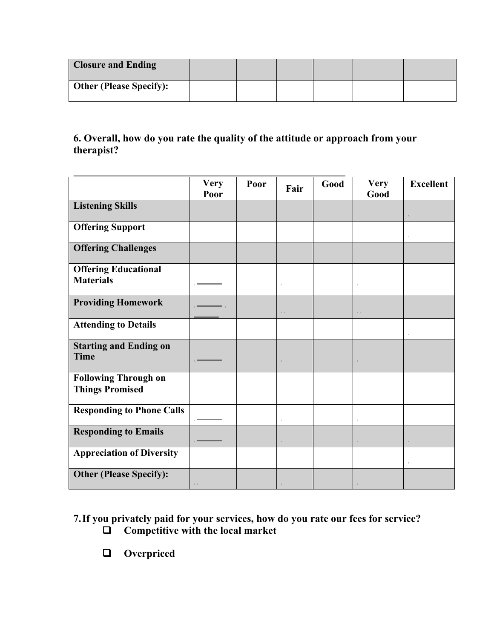| <b>Closure and Ending</b>      |  |  |  |
|--------------------------------|--|--|--|
| <b>Other (Please Specify):</b> |  |  |  |

## **6. Overall, how do you rate the quality of the attitude or approach from your therapist?**

|                                                       | <b>Very</b><br>Poor | Poor | Fair | Good | <b>Very</b><br>Good | <b>Excellent</b> |
|-------------------------------------------------------|---------------------|------|------|------|---------------------|------------------|
| <b>Listening Skills</b>                               |                     |      |      |      |                     |                  |
| <b>Offering Support</b>                               |                     |      |      |      |                     |                  |
| <b>Offering Challenges</b>                            |                     |      |      |      |                     |                  |
| <b>Offering Educational</b><br><b>Materials</b>       |                     |      |      |      |                     |                  |
| <b>Providing Homework</b>                             |                     |      |      |      |                     |                  |
| <b>Attending to Details</b>                           |                     |      |      |      |                     |                  |
| <b>Starting and Ending on</b><br><b>Time</b>          |                     |      |      |      |                     |                  |
| <b>Following Through on</b><br><b>Things Promised</b> |                     |      |      |      |                     |                  |
| <b>Responding to Phone Calls</b>                      |                     |      |      |      |                     |                  |
| <b>Responding to Emails</b>                           |                     |      |      |      |                     |                  |
| <b>Appreciation of Diversity</b>                      |                     |      |      |      |                     |                  |
| <b>Other (Please Specify):</b>                        |                     |      |      |      |                     |                  |

**7.If you privately paid for your services, how do you rate our fees for service?**  Competitive with the local market

**Q** Overpriced